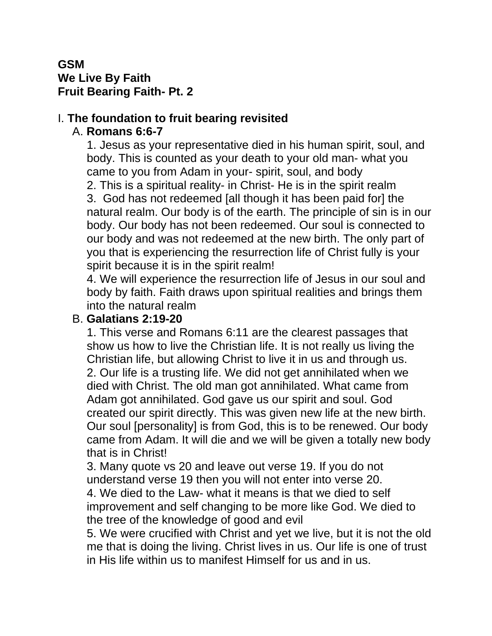### **GSM We Live By Faith Fruit Bearing Faith- Pt. 2**

#### I. **The foundation to fruit bearing revisited** A. **Romans 6:6-7**

1. Jesus as your representative died in his human spirit, soul, and body. This is counted as your death to your old man- what you came to you from Adam in your- spirit, soul, and body

2. This is a spiritual reality- in Christ- He is in the spirit realm

3. God has not redeemed [all though it has been paid for] the natural realm. Our body is of the earth. The principle of sin is in our body. Our body has not been redeemed. Our soul is connected to our body and was not redeemed at the new birth. The only part of you that is experiencing the resurrection life of Christ fully is your spirit because it is in the spirit realm!

4. We will experience the resurrection life of Jesus in our soul and body by faith. Faith draws upon spiritual realities and brings them into the natural realm

#### B. **Galatians 2:19-20**

1. This verse and Romans 6:11 are the clearest passages that show us how to live the Christian life. It is not really us living the Christian life, but allowing Christ to live it in us and through us. 2. Our life is a trusting life. We did not get annihilated when we died with Christ. The old man got annihilated. What came from Adam got annihilated. God gave us our spirit and soul. God created our spirit directly. This was given new life at the new birth. Our soul [personality] is from God, this is to be renewed. Our body came from Adam. It will die and we will be given a totally new body that is in Christ!

3. Many quote vs 20 and leave out verse 19. If you do not understand verse 19 then you will not enter into verse 20.

4. We died to the Law- what it means is that we died to self improvement and self changing to be more like God. We died to the tree of the knowledge of good and evil

5. We were crucified with Christ and yet we live, but it is not the old me that is doing the living. Christ lives in us. Our life is one of trust in His life within us to manifest Himself for us and in us.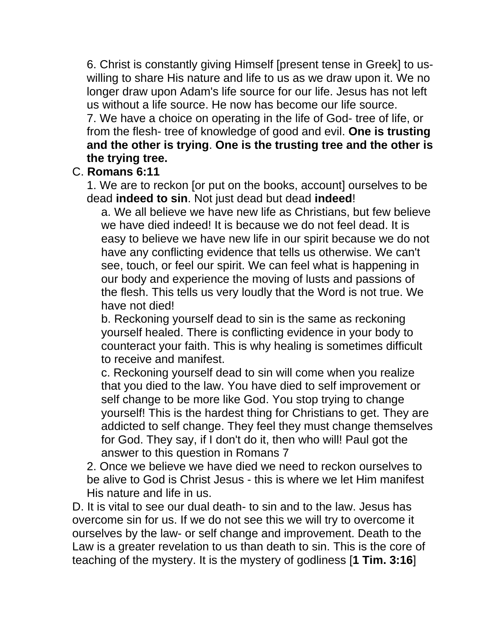6. Christ is constantly giving Himself [present tense in Greek] to uswilling to share His nature and life to us as we draw upon it. We no longer draw upon Adam's life source for our life. Jesus has not left us without a life source. He now has become our life source. 7. We have a choice on operating in the life of God- tree of life, or from the flesh- tree of knowledge of good and evil. **One is trusting and the other is trying**. **One is the trusting tree and the other is the trying tree.**

#### C. **Romans 6:11**

1. We are to reckon [or put on the books, account] ourselves to be dead **indeed to sin**. Not just dead but dead **indeed**!

a. We all believe we have new life as Christians, but few believe we have died indeed! It is because we do not feel dead. It is easy to believe we have new life in our spirit because we do not have any conflicting evidence that tells us otherwise. We can't see, touch, or feel our spirit. We can feel what is happening in our body and experience the moving of lusts and passions of the flesh. This tells us very loudly that the Word is not true. We have not died!

b. Reckoning yourself dead to sin is the same as reckoning yourself healed. There is conflicting evidence in your body to counteract your faith. This is why healing is sometimes difficult to receive and manifest.

c. Reckoning yourself dead to sin will come when you realize that you died to the law. You have died to self improvement or self change to be more like God. You stop trying to change yourself! This is the hardest thing for Christians to get. They are addicted to self change. They feel they must change themselves for God. They say, if I don't do it, then who will! Paul got the answer to this question in Romans 7

2. Once we believe we have died we need to reckon ourselves to be alive to God is Christ Jesus - this is where we let Him manifest His nature and life in us.

D. It is vital to see our dual death- to sin and to the law. Jesus has overcome sin for us. If we do not see this we will try to overcome it ourselves by the law- or self change and improvement. Death to the Law is a greater revelation to us than death to sin. This is the core of teaching of the mystery. It is the mystery of godliness [**1 Tim. 3:16**]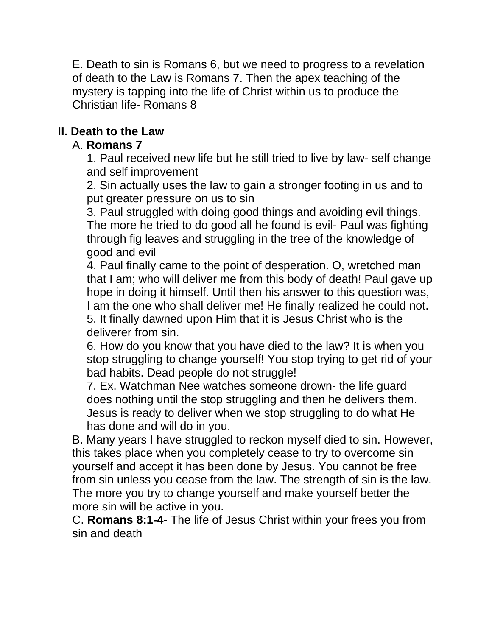E. Death to sin is Romans 6, but we need to progress to a revelation of death to the Law is Romans 7. Then the apex teaching of the mystery is tapping into the life of Christ within us to produce the Christian life- Romans 8

# **II. Death to the Law**

# A. **Romans 7**

1. Paul received new life but he still tried to live by law- self change and self improvement

2. Sin actually uses the law to gain a stronger footing in us and to put greater pressure on us to sin

3. Paul struggled with doing good things and avoiding evil things. The more he tried to do good all he found is evil- Paul was fighting through fig leaves and struggling in the tree of the knowledge of good and evil

4. Paul finally came to the point of desperation. O, wretched man that I am; who will deliver me from this body of death! Paul gave up hope in doing it himself. Until then his answer to this question was, I am the one who shall deliver me! He finally realized he could not. 5. It finally dawned upon Him that it is Jesus Christ who is the deliverer from sin.

6. How do you know that you have died to the law? It is when you stop struggling to change yourself! You stop trying to get rid of your bad habits. Dead people do not struggle!

7. Ex. Watchman Nee watches someone drown- the life guard does nothing until the stop struggling and then he delivers them. Jesus is ready to deliver when we stop struggling to do what He has done and will do in you.

B. Many years I have struggled to reckon myself died to sin. However, this takes place when you completely cease to try to overcome sin yourself and accept it has been done by Jesus. You cannot be free from sin unless you cease from the law. The strength of sin is the law. The more you try to change yourself and make yourself better the more sin will be active in you.

C. **Romans 8:1-4**- The life of Jesus Christ within your frees you from sin and death